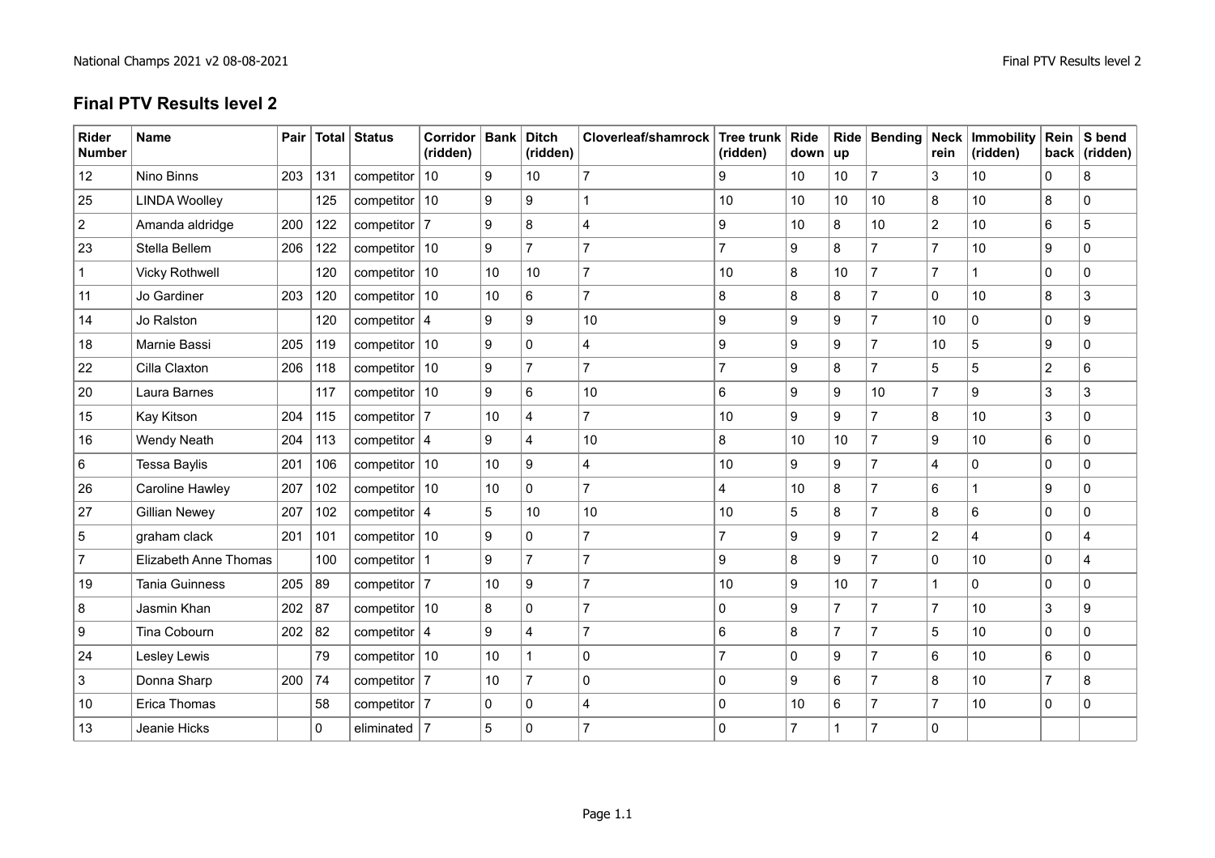## **Final PTV Results level 2**

| <b>Rider</b><br><b>Number</b> | <b>Name</b>           |          |          | Pair   Total   Status | Corridor   Bank   Ditch<br>(ridden) |    | (ridden)       | Cloverleaf/shamrock Tree trunk | (ridden)       | Ride<br>down up     |                | Ride   Bending | rein            | Neck   Immobility<br>(ridden) | Rein           | S bend<br>back $ $ (ridden) |
|-------------------------------|-----------------------|----------|----------|-----------------------|-------------------------------------|----|----------------|--------------------------------|----------------|---------------------|----------------|----------------|-----------------|-------------------------------|----------------|-----------------------------|
| 12                            | Nino Binns            | 203      | 131      | competitor $ 10$      |                                     | 9  | 10             | $\overline{7}$                 | 9              | 10                  | 10             | 7              | 3               | 10                            | 0              | 8                           |
| 25                            | <b>LINDA Woolley</b>  |          | 125      | competitor $ 10$      |                                     | 9  | 9              | 1                              | 10             | 10                  | 10             | 10             | 8               | 10                            | 8              | $\Omega$                    |
| $\overline{2}$                | Amanda aldridge       | 200      | 122      | competitor $ 7$       |                                     | 9  | 8              | $\overline{4}$                 | 9              | 10                  | 8              | 10             | $\overline{2}$  | 10                            | 6              | 5                           |
| 23                            | Stella Bellem         | 206      | 122      | competitor $ 10$      |                                     | 9  | $\overline{7}$ | $\overline{7}$                 | $\overline{7}$ | 9                   | 8              | 7              | $\overline{7}$  | 10                            | 9              | $\Omega$                    |
| $\mathbf 1$                   | <b>Vicky Rothwell</b> |          | 120      | competitor $ 10$      |                                     | 10 | 10             | $\overline{7}$                 | 10             | 8                   | 10             | $\overline{7}$ | $\overline{7}$  |                               | 0              | $\Omega$                    |
| 11                            | Jo Gardiner           | 203      | 120      | competitor $ 10$      |                                     | 10 | 6              | $\overline{7}$                 | 8              | 8                   | 8              | 7              | $\mathbf 0$     | 10                            | 8              | 3                           |
| 14                            | Jo Ralston            |          | 120      | competitor $ 4$       |                                     | 9  | 9              | 10                             | 9              | 9                   | 9              | $\overline{7}$ | 10              | $\mathbf{0}$                  | 0              | 9                           |
| 18                            | Marnie Bassi          | 205      | 119      | competitor $ 10$      |                                     | 9  | $\pmb{0}$      | $\overline{4}$                 | 9              | $9\,$               | 9              | $\overline{7}$ | 10              | $5\phantom{.0}$               | 9              | 0                           |
| 22                            | Cilla Claxton         | 206      | 118      | competitor $ 10$      |                                     | 9  | $\overline{7}$ | $\overline{7}$                 | 7              | 9                   | 8              | 7              | 5               | 5                             | $\overline{2}$ | 6                           |
| 20                            | Laura Barnes          |          | 117      | competitor $ 10$      |                                     | 9  | 6              | 10 <sup>1</sup>                | 6              | 9                   | 9              | 10             | $\overline{7}$  | 9                             | 3              | 3                           |
| 15                            | Kay Kitson            | 204      | 115      | competitor $ 7$       |                                     | 10 | $\overline{4}$ | $\overline{7}$                 | 10             | 9                   | 9              | $\overline{7}$ | 8               | 10                            | 3              | 0                           |
| 16                            | <b>Wendy Neath</b>    | 204      | 113      | competitor $ 4$       |                                     | 9  | 4              | 10 <sup>°</sup>                | 8              | 10                  | 10             | 7              | 9               | 10                            | 6              | 0                           |
| 6                             | <b>Tessa Baylis</b>   | 201      | 106      | competitor $ 10$      |                                     | 10 | 9              | $\overline{4}$                 | 10             | 9                   | 9              | 7              | 4               | $\mathbf 0$                   | 0              | $\Omega$                    |
| 26                            | Caroline Hawley       | 207      | 102      | competitor $ 10$      |                                     | 10 | $\mathbf 0$    | $\overline{7}$                 | $\overline{4}$ | 10                  | 8              | 7              | 6               |                               | 9              | $\Omega$                    |
| 27                            | <b>Gillian Newey</b>  | 207      | 102      | competitor $ 4$       |                                     | 5  | 10             | 10 <sup>1</sup>                | 10             | 5                   | 8              | 7              | 8               | $6\phantom{1}$                | 0              | 0                           |
| $\sqrt{5}$                    | graham clack          | 201      | 101      | competitor $ 10$      |                                     | 9  | 0              | $\overline{7}$                 | $\overline{7}$ | $9\,$               | 9              | $\overline{7}$ | $\overline{2}$  | $\overline{4}$                | $\pmb{0}$      | Δ                           |
| $\overline{7}$                | Elizabeth Anne Thomas |          | 100      | competitor $ 1$       |                                     | 9  | $\overline{7}$ | $\overline{7}$                 | 9              | 8                   | 9              | 7              | $\Omega$        | 10                            | 0              |                             |
| 19                            | <b>Tania Guinness</b> | 205      | 89       | competitor $ 7$       |                                     | 10 | 9              | $\overline{7}$                 | 10             | $9\,$               | 10             | $\overline{7}$ |                 | $\mathbf 0$                   | 0              | $\Omega$                    |
| 8                             | Jasmin Khan           | 202   87 |          | competitor $ 10$      |                                     | 8  | $\mathbf 0$    | $\overline{7}$                 | $\mathbf 0$    | $9\,$               | $\overline{7}$ | $\overline{7}$ | $\overline{7}$  | 10                            | 3              | 9                           |
| 9                             | Tina Cobourn          | 202      | 82       | competitor $ 4$       |                                     | 9  | $\overline{4}$ | $\overline{7}$                 | $6\phantom{a}$ | 8                   | $\overline{7}$ | $\overline{7}$ | 5               | 10                            | 0              | $\Omega$                    |
| 24                            | <b>Lesley Lewis</b>   |          | 79       | competitor $ 10$      |                                     | 10 | $\mathbf{1}$   | $\mathbf 0$                    | $\overline{7}$ | $\mathsf{O}\xspace$ | 9              | $\overline{7}$ | $6\overline{6}$ | 10                            | 6              | $\Omega$                    |
| 3                             | Donna Sharp           | 200      | 74       | competitor $ 7$       |                                     | 10 | $\overline{7}$ | $\mathbf{0}$                   | $\Omega$       | 9                   | 6              | 7              | 8               | 10                            | $\overline{7}$ | 8                           |
| 10                            | Erica Thomas          |          | 58       | competitor $ 7$       |                                     | 0  | 0              | 4                              | 0              | 10                  | 6              | 7              | $\overline{7}$  | 10                            | $\pmb{0}$      | $\mathbf 0$                 |
| 13                            | Jeanie Hicks          |          | $\Omega$ | eliminated $ 7$       |                                     | 5  | $\pmb{0}$      | $\overline{7}$                 | $\mathbf{0}$   | $\overline{7}$      |                | 7              | $\Omega$        |                               |                |                             |